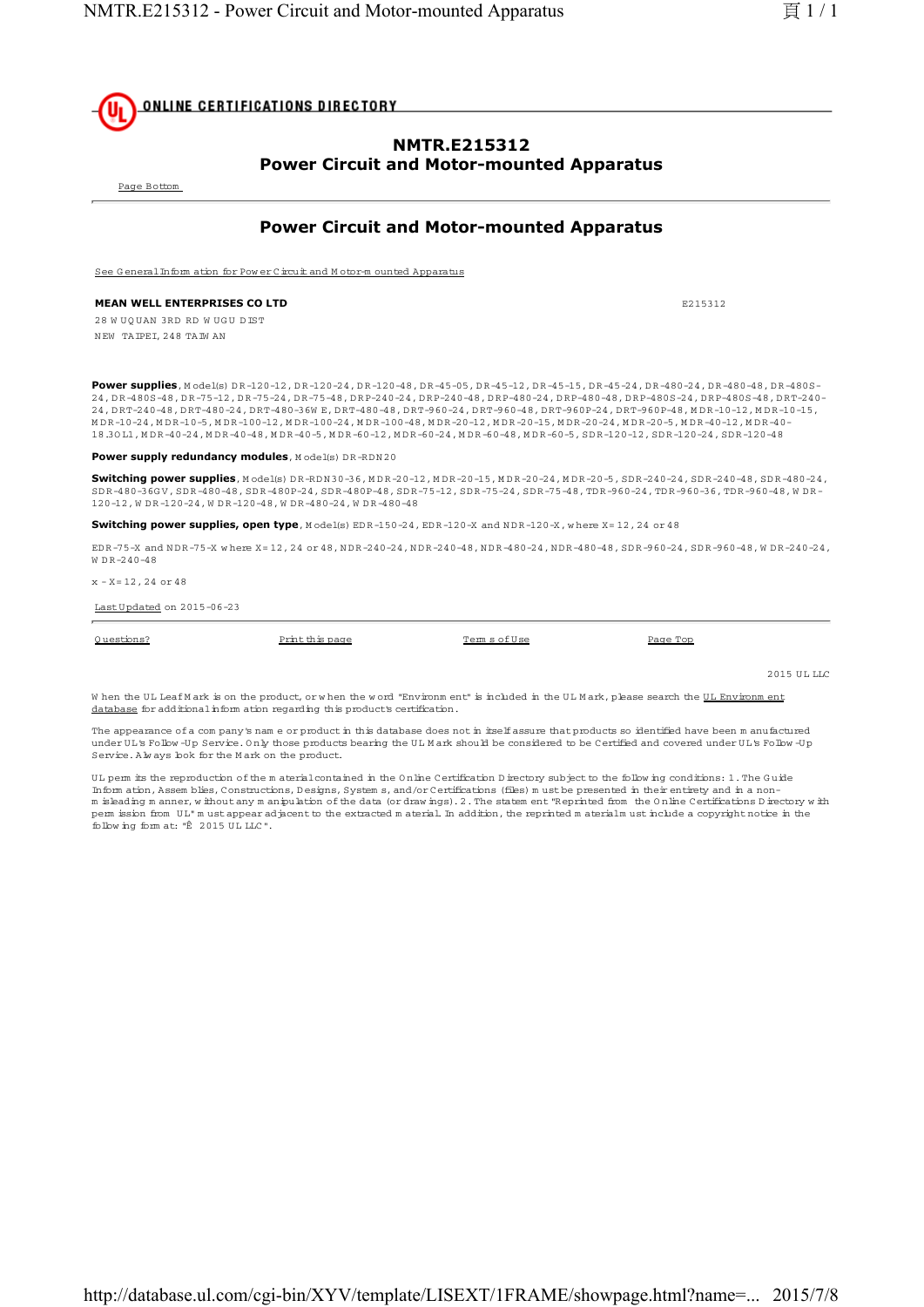

### **NMTR.E215312 Power Circuit and Motor-mounted Apparatus**

Page Bottom

# **Power Circuit and Motor-mounted Apparatus**

See G eneral Inform ation for Pow er Circuit and M otor-m ounted Apparatus

### **MEAN WELL ENTERPRISES CO LTD EXPLORED EXPLORED EXPLORED EXPLORED EXPLORED EXPLORED EXPLORED EXPLORED EXPLORED EXPLORED EXPLORED EXPLORED EXPLORED EXPLORED EXPLORED EXPLORED EXPLORED EXPLORED EXPLORED EXPLORED EXPLORED E**

28 W UOUAN 3RD RD WUGU DTST N EW TAIPEI, 248 TAIW AN

**Power supplies**, Model(s) DR-120-12, DR-120-24, DR-120-48, DR-45-05, DR-45-12, DR-45-15, DR-45-24, DR-480-24, DR-480-48, DR-480S-24, D R-480S-48, D R-75-12, D R-75-24, D R-75-48, D RP-240-24, D RP-240-48, D RP-480-24, D RP-480-48, D RP-480S-24, D RP-480S-48, D RT-240- 24, DRT-240-48, DRT-480-24, DRT-480-36W E, DRT-480-48, DRT-960-24, DRT-960-48, DRT-960P-24, DRT-960P-48, MDR-10-12, MDR-10-15, M D R-10-24, M D R-10-5, M D R-100-12, M D R-100-24, M D R-100-48, M D R-20-12, M D R-20-15, M D R-20-24, M D R-20-5, M D R-40-12, M D R-40- 18.3O L1, M D R-40-24, M D R-40-48, M D R-40-5, M D R-60-12, M D R-60-24, M D R-60-48, M D R-60-5, SD R-120-12, SD R-120-24, SD R-120-48

#### **Power supply redundancy modules**, Model(s) DR-RDN20

Switching power supplies, Model(s) DR-RDN 30-36, MDR-20-12, MDR-20-15, MDR-20-24, MDR-20-5, SDR-240-24, SDR-240-48, SDR-480-24, SD R-480-36G V, SD R-480-48, SD R-480P-24, SD R-480P-48, SD R-75-12, SD R-75-24, SD R-75-48, TD R-960-24, TD R-960-36, TD R-960-48, W D R-120-12, W D R -120-24, W D R -120-48, W D R -480-24, W D R -480-48

**Switching power supplies, open type**, M odel(s) EDR-150-24, EDR-120-X and NDR-120-X, where X=12, 24 or 48

ED R-75-X and N D R-75-X w here X= 12, 24 or 48, N D R-240-24, N D R-240-48, N D R-480-24, N D R-480-48, SD R-960-24, SD R-960-48, W D R-240-24,  $W \cap R = 240 - 48$ 

 $x - x = 12, 24$  or 48

Last U pdated on 2015-06-23

| Questions? | Print this page | Terms of Use | Page Top |
|------------|-----------------|--------------|----------|
|            |                 |              |          |

2015 ULLLC

When the UL Leaf M ark is on the product, or when the word "Environm ent" is included in the UL M ark, please search the UL Environm ent database for additional inform ation regarding this product's certification.

The appearance of a com pany's nam e or product in this database does not in itself assure that products so identified have been m anufactured under UL's Follow -Up Service. Only those products bearing the UL M ark should be considered to be Certified and covered under UL's Follow -Up Service. Alw ays look for the M ark on the product.

U L perm its the reproduction of the m aterial contained in the O nline Certification D irectory subject to the follow ing conditions: 1. The G uide Inform ation, Assem blies, Constructions, D esigns, System s, and/or Certifications (files) m ust be presented in their entirety and in a nonm isleading m anner, w ithout any m anipulation of the data (or draw ings). 2. The statem ent "Reprinted from the O nline Certifications D irectory w ith perm ission from U L" m ust appear adjacent to the extracted m aterial. In addition, the reprinted m aterialm ust include a copyright notice in the follow ing form at: "© 2015 U L LLC".